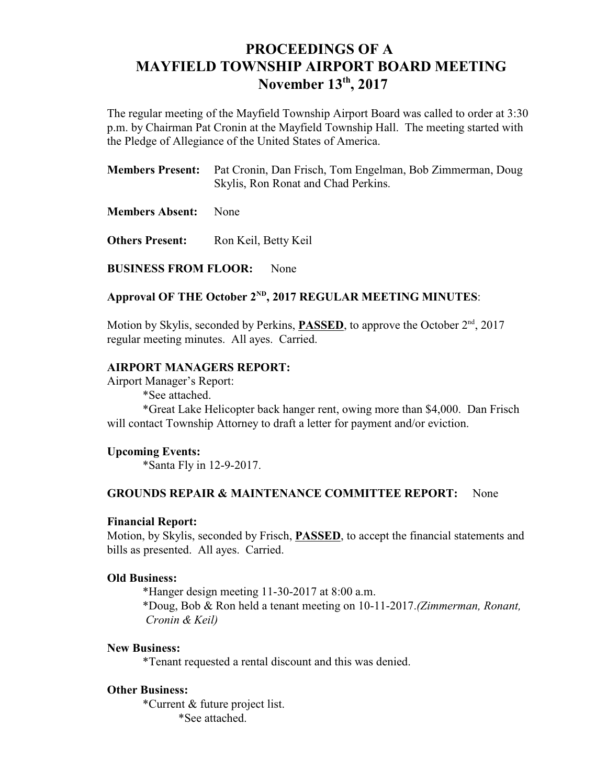# **PROCEEDINGS OF A MAYFIELD TOWNSHIP AIRPORT BOARD MEETING November 13<sup>th</sup>, 2017**

The regular meeting of the Mayfield Township Airport Board was called to order at 3:30 p.m. by Chairman Pat Cronin at the Mayfield Township Hall. The meeting started with the Pledge of Allegiance of the United States of America.

| <b>Members Present:</b> Pat Cronin, Dan Frisch, Tom Engelman, Bob Zimmerman, Doug |
|-----------------------------------------------------------------------------------|
| Skylis, Ron Ronat and Chad Perkins.                                               |

**Members Absent:** None

**Others Present:** Ron Keil, Betty Keil

**BUSINESS FROM FLOOR:** None

## Approval OF THE October 2<sup>ND</sup>, 2017 REGULAR MEETING MINUTES:

Motion by Skylis, seconded by Perkins, **PASSED**, to approve the October 2<sup>nd</sup>, 2017 regular meeting minutes. All ayes. Carried.

## **AIRPORT MANAGERS REPORT:**

Airport Manager's Report: \*See attached.

\*Great Lake Helicopter back hanger rent, owing more than \$4,000. Dan Frisch will contact Township Attorney to draft a letter for payment and/or eviction.

## **Upcoming Events:**

\*Santa Fly in 12-9-2017.

#### **GROUNDS REPAIR & MAINTENANCE COMMITTEE REPORT:** None

## **Financial Report:**

Motion, by Skylis, seconded by Frisch, **PASSED**, to accept the financial statements and bills as presented. All ayes. Carried.

#### **Old Business:**

\*Hanger design meeting 11-30-2017 at 8:00 a.m. \*Doug, Bob & Ron held a tenant meeting on 10-11-2017.*(Zimmerman, Ronant, Cronin & Keil)*

#### **New Business:**

\*Tenant requested a rental discount and this was denied.

#### **Other Business:**

\*Current & future project list. \*See attached.